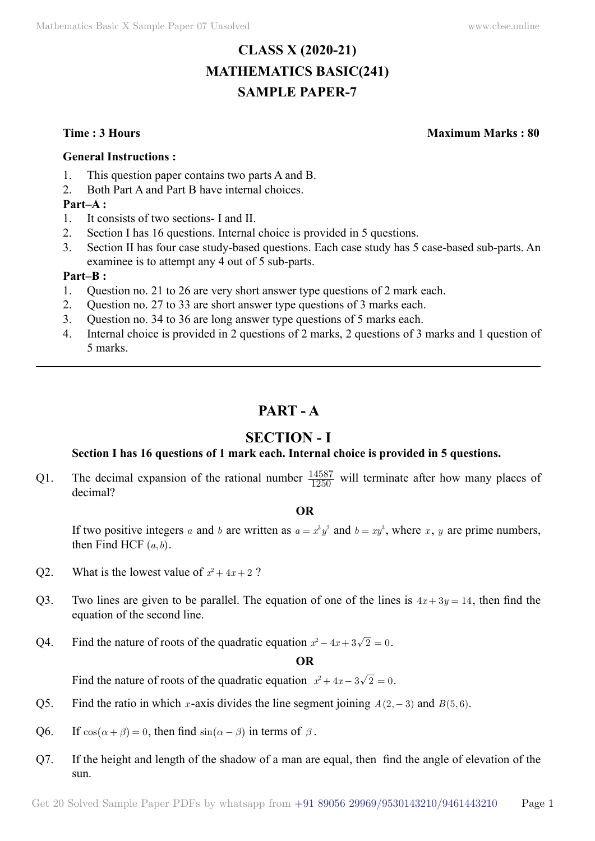# **CLASS X (2020-21) MATHEMATICS BASIC(241) SAMPLE PAPER-7**

**Time : 3 Hours Maximum Marks : 80**

#### **General Instructions :**

- 1. This question paper contains two parts A and B.
- 2. Both Part A and Part B have internal choices.

#### **Part–A :**

- 1. It consists of two sections- I and II.
- 2. Section I has 16 questions. Internal choice is provided in 5 questions.
- 3. Section II has four case study-based questions. Each case study has 5 case-based sub-parts. An examinee is to attempt any 4 out of 5 sub-parts.

#### **Part–B :**

- 1. Question no. 21 to 26 are very short answer type questions of 2 mark each.
- 2. Question no. 27 to 33 are short answer type questions of 3 marks each.
- 3. Question no. 34 to 36 are long answer type questions of 5 marks each.
- 4. Internal choice is provided in 2 questions of 2 marks, 2 questions of 3 marks and 1 question of 5 marks.

## **Part - A**

## **Section - I**

#### **Section I has 16 questions of 1 mark each. Internal choice is provided in 5 questions.**

Q1. The decimal expansion of the rational number  $\frac{14587}{1250}$  will terminate after how many places of decimal?

#### **O**

If two positive integers *a* and *b* are written as  $a = x^3y^2$  and  $b = xy^3$ , where *x*, *y* are prime numbers, then Find HCF  $(a, b)$ .

- Q2. What is the lowest value of  $x^2 + 4x + 2$ ?
- Q3. Two lines are given to be parallel. The equation of one of the lines is  $4x + 3y = 14$ , then find the equation of the second line.
- Q4. Find the nature of roots of the quadratic equation  $x^2 4x + 3\sqrt{2} = 0$ .

#### $\Omega$

Find the nature of roots of the quadratic equation  $x^2 + 4x - 3\sqrt{2} = 0$ .

- Q5. Find the ratio in which *x*-axis divides the line segment joining  $A(2, -3)$  and  $B(5, 6)$ .
- Q6. If  $cos(\alpha + \beta) = 0$ , then find  $sin(\alpha \beta)$  in terms of  $\beta$ .
- Q7. If the height and length of the shadow of a man are equal, then find the angle of elevation of the sun.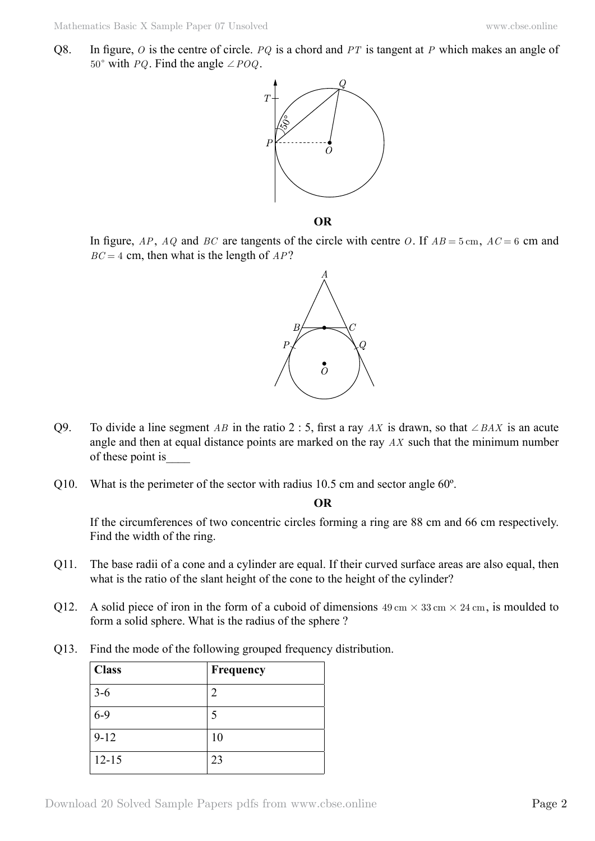Q8. In figure, *O* is the centre of circle. *PQ* is a chord and *PT* is tangent at *P* which makes an angle of 50° with *PQ*. Find the angle  $\angle POQ$ .



 **O**

In figure, *AP*, *AQ* and *BC* are tangents of the circle with centre *O*. If *AB* = 5 cm, *AC* = 6 cm and *BC* = 4 cm, then what is the length of *AP*?



- Q9. To divide a line segment *AB* in the ratio 2 : 5, first a ray *AX* is drawn, so that  $\angle BAX$  is an acute angle and then at equal distance points are marked on the ray *AX* such that the minimum number of these point is\_\_\_\_
- Q10. What is the perimeter of the sector with radius 10.5 cm and sector angle 60º.

 **O**

If the circumferences of two concentric circles forming a ring are 88 cm and 66 cm respectively. Find the width of the ring.

- Q11. The base radii of a cone and a cylinder are equal. If their curved surface areas are also equal, then what is the ratio of the slant height of the cone to the height of the cylinder?
- Q12. A solid piece of iron in the form of a cuboid of dimensions  $49 \text{ cm} \times 33 \text{ cm} \times 24 \text{ cm}$ , is moulded to form a solid sphere. What is the radius of the sphere ?
- Q13. Find the mode of the following grouped frequency distribution.

| <b>Class</b> | Frequency                   |
|--------------|-----------------------------|
| $3-6$        | $\mathcal{D}_{\mathcal{A}}$ |
| $6 - 9$      |                             |
| $9 - 12$     | 10                          |
| $12 - 15$    | 23                          |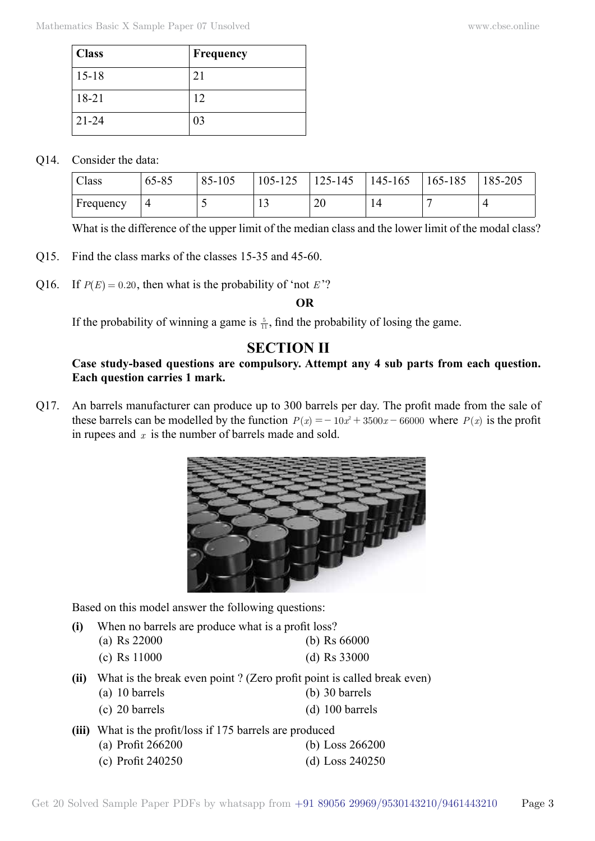| <b>Class</b> | Frequency |
|--------------|-----------|
| $15 - 18$    | 21        |
| $18 - 21$    | 12        |
| $21 - 24$    | 03        |

#### Q14. Consider the data:

| Class     | 65-85 | 85-105 | 105-125  | $125 - 145$ | 145-165 | 165-185 | 185-205        |
|-----------|-------|--------|----------|-------------|---------|---------|----------------|
| Frequency |       |        | <b>L</b> | 20          | 14      |         | $\overline{ }$ |

What is the difference of the upper limit of the median class and the lower limit of the modal class?

- Q15. Find the class marks of the classes 15-35 and 45-60.
- Q16. If  $P(E) = 0.20$ , then what is the probability of 'not *E*'?

 **O**

If the probability of winning a game is  $\frac{5}{11}$ , find the probability of losing the game.

## **Section II**

#### **Case study-based questions are compulsory. Attempt any 4 sub parts from each question. Each question carries 1 mark.**

Q17. An barrels manufacturer can produce up to 300 barrels per day. The profit made from the sale of these barrels can be modelled by the function  $P(x) = -10x^2 + 3500x - 66000$  where  $P(x)$  is the profit in rupees and *x* is the number of barrels made and sold.



Based on this model answer the following questions:

- **(i)** When no barrels are produce what is a profit loss?
	- (a) Rs 22000 (b) Rs 66000
		- (c) Rs 11000 (d) Rs 33000
- **(ii)** What is the break even point ? (Zero profit point is called break even) (a) 10 barrels (b) 30 barrels
	- (c) 20 barrels (d) 100 barrels
- **(iii)** What is the profit/loss if 175 barrels are produced (a) Profit 266200 (b) Loss 266200 (c) Profit 240250 (d) Loss 240250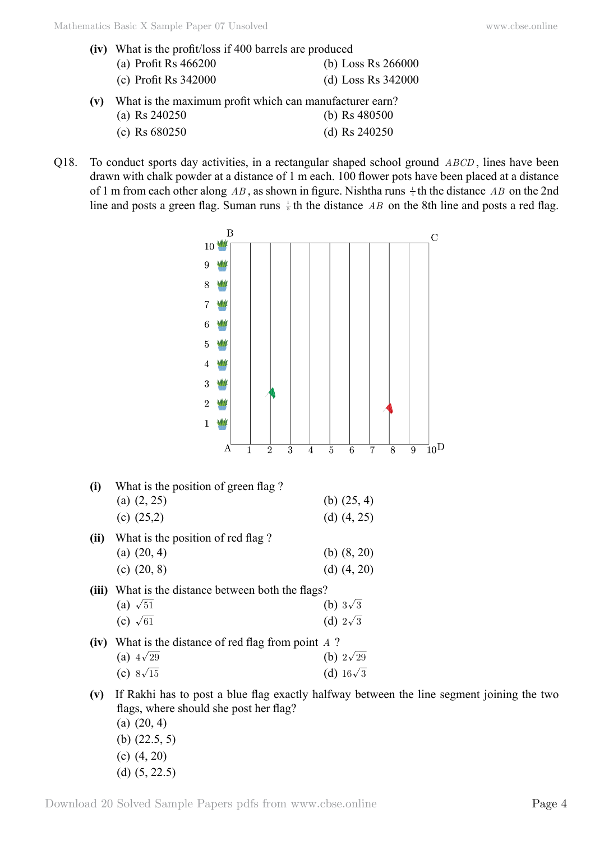|     | (iv) What is the profit/loss if 400 barrels are produced |                      |  |  |  |  |  |  |
|-----|----------------------------------------------------------|----------------------|--|--|--|--|--|--|
|     | (a) Profit Rs $466200$                                   | (b) Loss Rs 266000   |  |  |  |  |  |  |
|     | (c) Profit Rs $342000$                                   | (d) Loss Rs $342000$ |  |  |  |  |  |  |
| (v) | What is the maximum profit which can manufacturer earn?  |                      |  |  |  |  |  |  |
|     | (a) Rs $240250$                                          | (b) Rs $480500$      |  |  |  |  |  |  |

- (c) Rs 680250 (d) Rs 240250
- Q18. To conduct sports day activities, in a rectangular shaped school ground *ABCD* , lines have been drawn with chalk powder at a distance of 1 m each. 100 flower pots have been placed at a distance of 1 m from each other along AB, as shown in figure. Nishtha runs  $\frac{1}{4}$  th the distance AB on the 2nd line and posts a green flag. Suman runs  $\frac{1}{5}$  th the distance *AB* on the 8th line and posts a red flag.



- (b) (22.5, 5)
- (c) (4, 20)
- (d) (5, 22.5)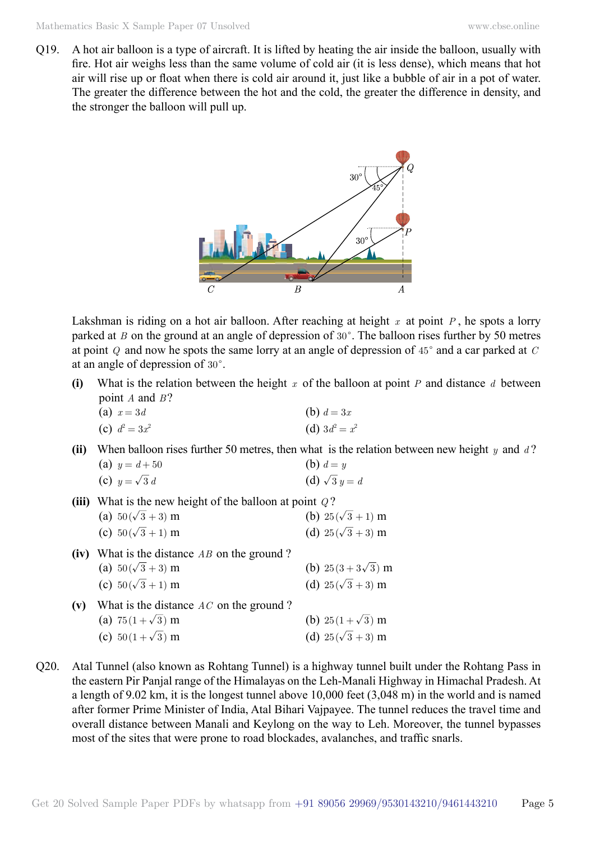Q19. A hot air balloon is a type of aircraft. It is lifted by heating the air inside the balloon, usually with fire. Hot air weighs less than the same volume of cold air (it is less dense), which means that hot air will rise up or float when there is cold air around it, just like a bubble of air in a pot of water. The greater the difference between the hot and the cold, the greater the difference in density, and the stronger the balloon will pull up.



Lakshman is riding on a hot air balloon. After reaching at height *x* at point *P* , he spots a lorry parked at *B* on the ground at an angle of depression of  $30^\circ$ . The balloon rises further by 50 metres at point  $Q$  and now he spots the same lorry at an angle of depression of  $45^{\circ}$  and a car parked at  $C$ at an angle of depression of  $30^\circ$ .

**(i)** What is the relation between the height *x* of the balloon at point *P* and distance *d* between point *A* and *B* ?

| (a) $x=3d$       | (b) $d = 3x$     |
|------------------|------------------|
| (c) $d^2 = 3x^2$ | (d) $3d^2 = x^2$ |

**(ii)** When balloon rises further 50 metres, then what is the relation between new height *y* and *d* ? (a)  $y = d + 50$  (b)  $d = y$ 

(c) 
$$
y = \sqrt{3} d
$$
   
 (d)  $\sqrt{3} y = d$ 

- **(iii)** What is the new height of the balloon at point *Q* ? (a)  $50(\sqrt{3} + 3)$  m (b)  $25(\sqrt{3} + 1)$  m (c)  $50(\sqrt{3} + 1)$  m (d)  $25(\sqrt{3} + 3)$  m
- **(iv)** What is the distance *AB* on the ground ? (a)  $50(\sqrt{3} + 3)$  m (b)  $25(3 + 3\sqrt{3})$  m (c)  $50(\sqrt{3} + 1)$  m (d)  $25(\sqrt{3} + 3)$  m **(v)** What is the distance *AC* on the ground ?
	- (a)  $75(1+\sqrt{3})$  m (b)  $25(1+\sqrt{3})$  m (c)  $50(1+\sqrt{3})$  m (d)  $25(\sqrt{3}+3)$  m
- Q20. Atal Tunnel (also known as Rohtang Tunnel) is a highway tunnel built under the Rohtang Pass in the eastern Pir Panjal range of the Himalayas on the Leh-Manali Highway in Himachal Pradesh. At a length of 9.02 km, it is the longest tunnel above 10,000 feet (3,048 m) in the world and is named after former Prime Minister of India, Atal Bihari Vajpayee. The tunnel reduces the travel time and overall distance between Manali and Keylong on the way to Leh. Moreover, the tunnel bypasses most of the sites that were prone to road blockades, avalanches, and traffic snarls.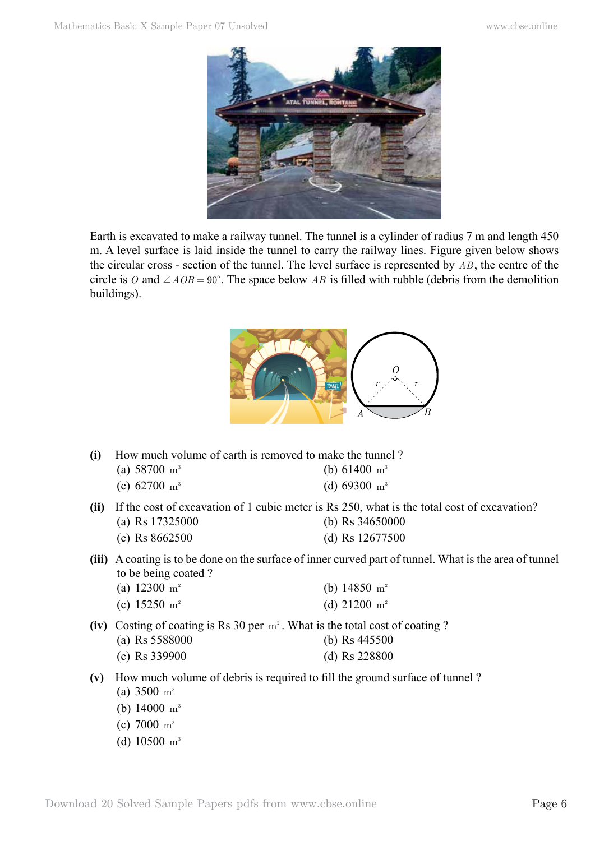

Earth is excavated to make a railway tunnel. The tunnel is a cylinder of radius 7 m and length 450 m. A level surface is laid inside the tunnel to carry the railway lines. Figure given below shows the circular cross - section of the tunnel. The level surface is represented by *AB* , the centre of the circle is *O* and  $\angle AOB = 90^\circ$ . The space below *AB* is filled with rubble (debris from the demolition buildings).



- **(i)** How much volume of earth is removed to make the tunnel ?
	- (a)  $58700 \text{ m}^3$  (b)  $61400 \text{ m}^3$ 
		- (c) 62700  $\text{m}^3$  (d) 69300  $\text{m}^3$
- **(ii)** If the cost of excavation of 1 cubic meter is Rs 250, what is the total cost of excavation? (a) Rs 17325000 (b) Rs 34650000
	- (c) Rs 8662500 (d) Rs 12677500
- **(iii)** A coating is to be done on the surface of inner curved part of tunnel. What is the area of tunnel to be being coated ?
	- (a)  $12300 \text{ m}^2$  (b)  $14850 \text{ m}^2$
	- (c)  $15250 \text{ m}^2$  (d)  $21200 \text{ m}^2$
- **(iv)** Costing of coating is Rs 30 per  $m^2$ . What is the total cost of coating ?
	- (a) Rs 5588000 (b) Rs 445500
	- (c) Rs 339900 (d) Rs 228800
- **(v)** How much volume of debris is required to fill the ground surface of tunnel ?
	- (a)  $3500 \text{ m}^3$
	- (b)  $14000 \text{ m}^3$
	- (c)  $7000 \text{ m}^3$
	- (d) 10500 m<sup>3</sup>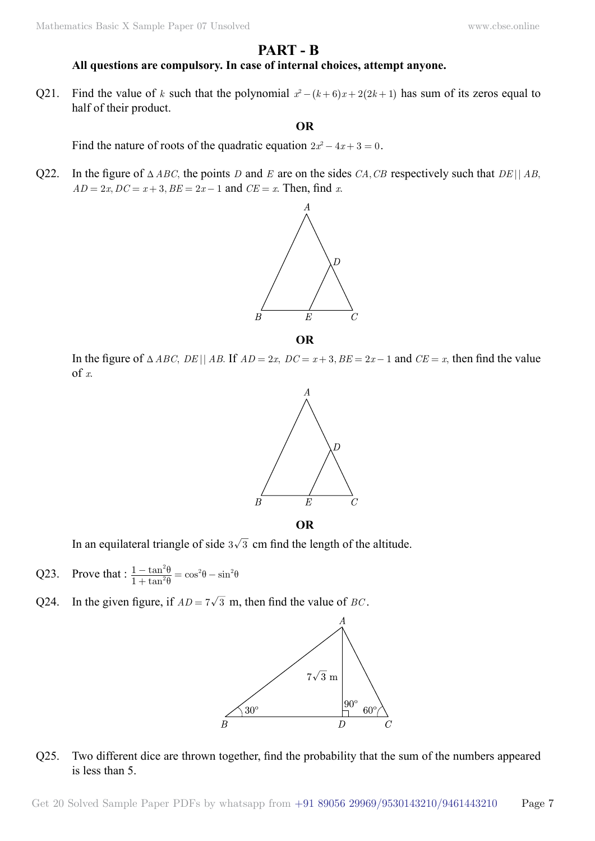### **Part - B**

#### **All questions are compulsory. In case of internal choices, attempt anyone.**

Q21. Find the value of *k* such that the polynomial  $x^2 - (k+6)x + 2(2k+1)$  has sum of its zeros equal to half of their product.

#### **O**

Find the nature of roots of the quadratic equation  $2x^2 - 4x + 3 = 0$ .

Q22. In the figure of  $\triangle ABC$ , the points *D* and *E* are on the sides *CA*, *CB* respectively such that *DE* || *AB*,  $AD = 2x, DC = x + 3, BE = 2x - 1$  and  $CE = x$ . Then, find *x*.



In the figure of  $\triangle ABC$ ,  $DE \parallel AB$ . If  $AD = 2x$ ,  $DC = x + 3$ ,  $BE = 2x - 1$  and  $CE = x$ , then find the value of *x*.



In an equilateral triangle of side  $3\sqrt{3}$  cm find the length of the altitude.

- Q23. Prove that :  $\frac{1-\tan^2\theta}{1+\tan^2\theta} = \cos^2\theta \sin^2\theta$  $\frac{1-\tan^2\theta}{1+\tan^2\theta} = \cos^2\theta - \sin^2\theta$  $\frac{-\tan^2\theta}{+\tan^2\theta} = \cos^2\theta - \sin^2\theta$
- Q24. In the given figure, if  $AD = 7\sqrt{3}$  m, then find the value of *BC*.



#### Q25. Two different dice are thrown together, find the probability that the sum of the numbers appeared is less than 5.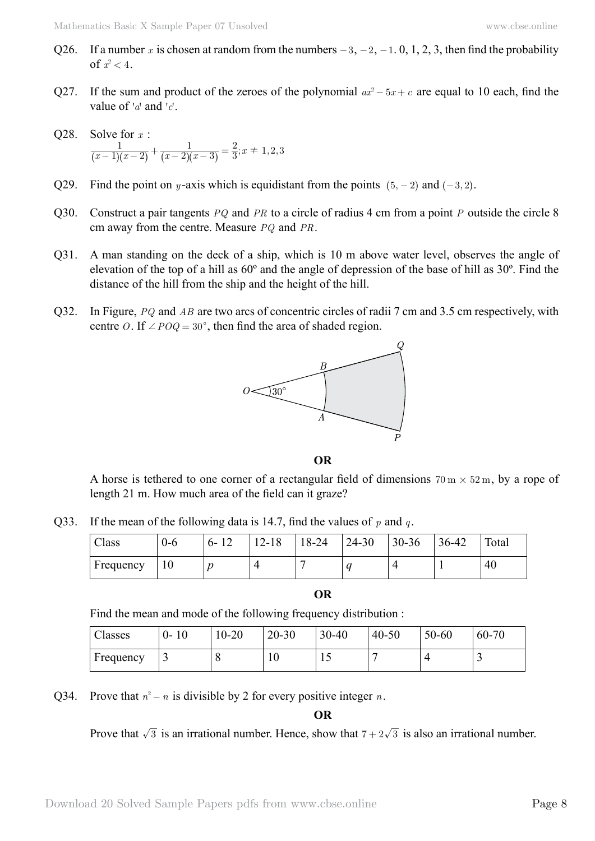- Q26. If a number x is chosen at random from the numbers  $-3$ ,  $-2$ ,  $-1$ , 0, 1, 2, 3, then find the probability of  $x^2 < 4$ .
- Q27. If the sum and product of the zeroes of the polynomial  $ax^2 5x + c$  are equal to 10 each, find the value of  $a^r$  and  $b^r$ .
- Q28. Solve for *x* :  $\frac{1}{(x-1)(x-2)} + \frac{1}{(x-2)(x-3)} = \frac{2}{3}$ ;  $x \neq 1, 2$ ,  $2(x-3)$ 1  $\frac{1}{(x-1)(x-2)} + \frac{1}{(x-2)(x-3)} = \frac{2}{3}$ ;  $x \neq 1, 2, 3$
- Q29. Find the point on *y*-axis which is equidistant from the points  $(5, -2)$  and  $(-3, 2)$ .
- Q30. Construct a pair tangents *PQ* and *PR* to a circle of radius 4 cm from a point *P* outside the circle 8 cm away from the centre. Measure *PQ* and *PR*.
- Q31. A man standing on the deck of a ship, which is 10 m above water level, observes the angle of elevation of the top of a hill as 60º and the angle of depression of the base of hill as 30º. Find the distance of the hill from the ship and the height of the hill.
- Q32. In Figure, *PQ* and *AB* are two arcs of concentric circles of radii 7 cm and 3.5 cm respectively, with centre *O*. If  $\angle POQ = 30^{\circ}$ , then find the area of shaded region.



 **O**

A horse is tethered to one corner of a rectangular field of dimensions  $70 \text{ m} \times 52 \text{ m}$ , by a rope of length 21 m. How much area of the field can it graze?

Q33. If the mean of the following data is 14.7, find the values of *p* and *q* .

| Class     | U-0 | $6 - 12$ | $2 - 18$ | $8 - 24$ | 24-30 | $30 - 36$ | $36 - 42$ | Total |
|-----------|-----|----------|----------|----------|-------|-----------|-----------|-------|
| Frequency | 10  |          |          |          | ı     |           |           | 40    |

 **O**

Find the mean and mode of the following frequency distribution :

| Classes   | 10<br>$0-$ | $10 - 20$ | $20 - 30$ | $30 - 40$ | $40 - 50$ | $50 - 60$ | $60 - 70$ |
|-----------|------------|-----------|-----------|-----------|-----------|-----------|-----------|
| Frequency | ت          | Ő         | 1 V       | ⊥ J       |           |           | -         |

Q34. Prove that  $n^2 - n$  is divisible by 2 for every positive integer *n*.

 **O**

Prove that  $\sqrt{3}$  is an irrational number. Hence, show that  $7 + 2\sqrt{3}$  is also an irrational number.